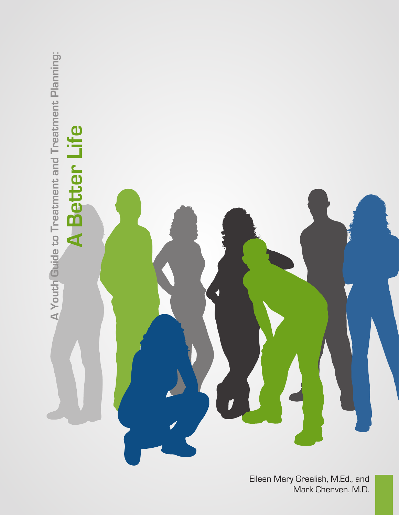

Eileen Mary Grealish, M.Ed., and Mark Chenven, M.D.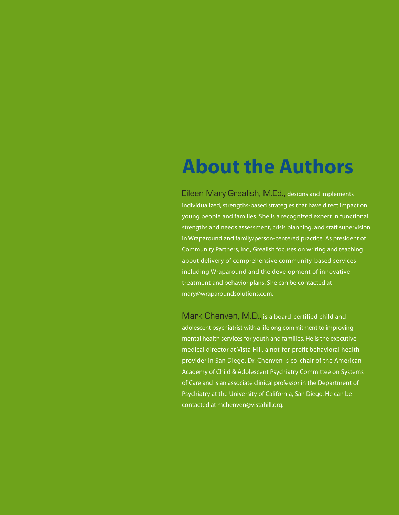## **About the Authors**

Eileen Mary Grealish, M.Ed., designs and implements individualized, strengths-based strategies that have direct impact on young people and families. She is a recognized expert in functional strengths and needs assessment, crisis planning, and staff supervision in Wraparound and family/person-centered practice. As president of Community Partners, Inc., Grealish focuses on writing and teaching about delivery of comprehensive community-based services including Wraparound and the development of innovative treatment and behavior plans. She can be contacted at mary@wraparoundsolutions.com.

Mark Chenven, M.D., is a board-certified child and adolescent psychiatrist with a lifelong commitment to improving mental health services for youth and families. He is the executive medical director at Vista Hill, a not-for-profit behavioral health provider in San Diego. Dr. Chenven is co-chair of the American Academy of Child & Adolescent Psychiatry Committee on Systems of Care and is an associate clinical professor in the Department of Psychiatry at the University of California, San Diego. He can be contacted at [mchenven@vistahill.org](mailto:mchenven@vistahill.org).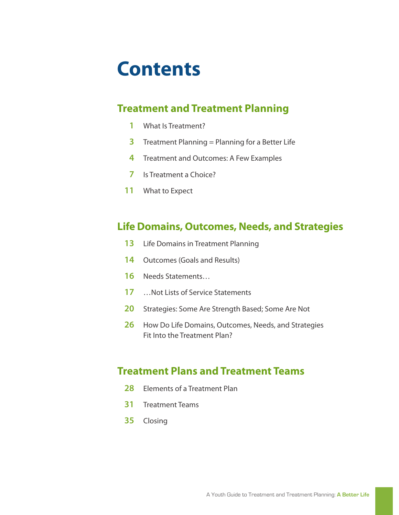## **Contents**

### **Treatment and Treatment Planning**

- What Is Treatment?
- Treatment Planning = Planning for a Better Life
- Treatment and Outcomes: A Few Examples
- Is Treatment a Choice?
- What to Expect

### **Life Domains, Outcomes, Needs, and Strategies**

- Life Domains in Treatment Planning
- Outcomes (Goals and Results)
- Needs Statements…
- …Not Lists of Service Statements
- Strategies: Some Are Strength Based; Some Are Not
- How Do Life Domains, Outcomes, Needs, and Strategies Fit Into the Treatment Plan?

### **Treatment Plans and Treatment Teams**

- Elements of a Treatment Plan
- Treatment Teams
- Closing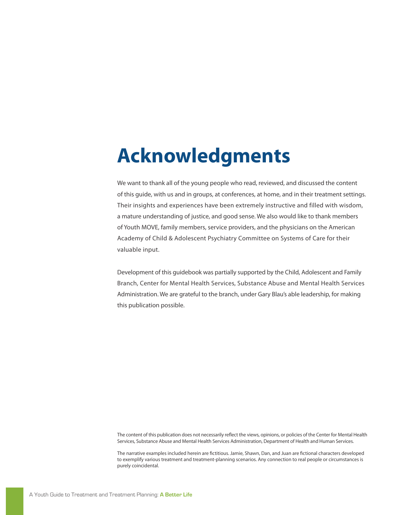## **Acknowledgments**

We want to thank all of the young people who read, reviewed, and discussed the content of this guide, with us and in groups, at conferences, at home, and in their treatment settings. Their insights and experiences have been extremely instructive and filled with wisdom, a mature understanding of justice, and good sense. We also would like to thank members of Youth MOVE, family members, service providers, and the physicians on the American Academy of Child & Adolescent Psychiatry Committee on Systems of Care for their valuable input.

Development of this guidebook was partially supported by the Child, Adolescent and Family Branch, Center for Mental Health Services, Substance Abuse and Mental Health Services Administration. We are grateful to the branch, under Gary Blau's able leadership, for making this publication possible.

The content of this publication does not necessarily reflect the views, opinions, or policies of the Center for Mental Health Services, Substance Abuse and Mental Health Services Administration, Department of Health and Human Services.

The narrative examples included herein are fictitious. Jamie, Shawn, Dan, and Juan are fictional characters developed to exemplify various treatment and treatment-planning scenarios. Any connection to real people or circumstances is purely coincidental.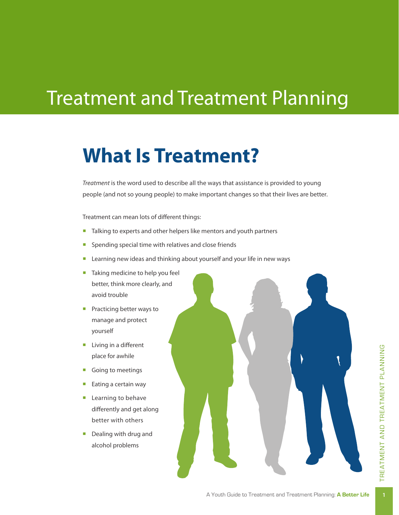## Treatment and Treatment Planning

### **What Is Treatment?**

*Treatment* is the word used to describe all the ways that assistance is provided to young people (and not so young people) to make important changes so that their lives are better.

Treatment can mean lots of different things:

- Talking to experts and other helpers like mentors and youth partners
- **•** Spending special time with relatives and close friends
- Learning new ideas and thinking about yourself and your life in new ways
- Taking medicine to help you feel better, think more clearly, and avoid trouble
- Practicing better ways to manage and protect yourself
- Living in a different place for awhile
- Going to meetings
- Eating a certain way
- Learning to behave differently and get along better with others
- Dealing with drug and alcohol problems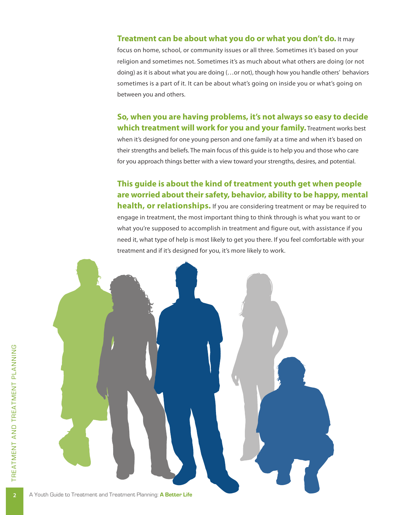#### **Treatment can be about what you do or what you don't do.** It may

focus on home, school, or community issues or all three. Sometimes it's based on your religion and sometimes not. Sometimes it's as much about what others are doing (or not doing) as it is about what you are doing (…or not), though how you handle others' behaviors sometimes is a part of it. It can be about what's going on inside you or what's going on between you and others.

**So, when you are having problems, it's not always so easy to decide which treatment will work for you and your family.** Treatment works best when it's designed for one young person and one family at a time and when it's based on their strengths and beliefs. The main focus of this guide is to help you and those who care for you approach things better with a view toward your strengths, desires, and potential.

**This guide is about the kind of treatment youth get when people are worried about their safety, behavior, ability to be happy, mental health, or relationships.** If you are considering treatment or may be required to engage in treatment, the most important thing to think through is what you want to or what you're supposed to accomplish in treatment and figure out, with assistance if you need it, what type of help is most likely to get you there. If you feel comfortable with your treatment and if it's designed for you, it's more likely to work.

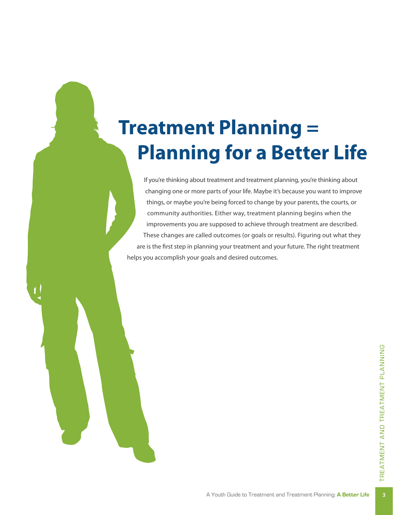# **Treatment Planning = Planning for a Better Life**

If you're thinking about treatment and treatment planning, you're thinking about changing one or more parts of your life. Maybe it's because you want to improve things, or maybe you're being forced to change by your parents, the courts, or community authorities. Either way, treatment planning begins when the improvements you are supposed to achieve through treatment are described. These changes are called outcomes (or goals or results). Figuring out what they are is the first step in planning your treatment and your future. The right treatment helps you accomplish your goals and desired outcomes.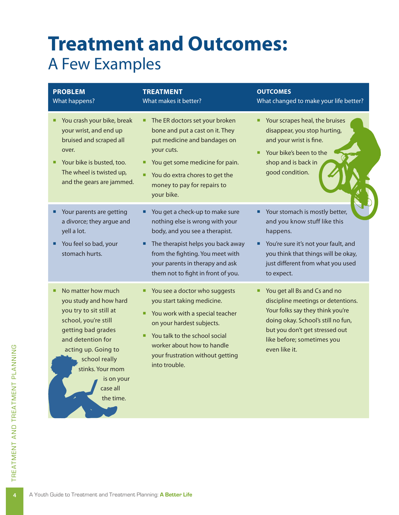### **Treatment and Outcomes:** A Few Examples

| <b>PROBLEM</b><br>What happens?                                                                                                                                                                                                               | <b>TREATMENT</b><br>What makes it better?                                                                                                                                                                                                              | <b>OUTCOMES</b><br>What changed to make your life better?                                                                                                                                                                          |
|-----------------------------------------------------------------------------------------------------------------------------------------------------------------------------------------------------------------------------------------------|--------------------------------------------------------------------------------------------------------------------------------------------------------------------------------------------------------------------------------------------------------|------------------------------------------------------------------------------------------------------------------------------------------------------------------------------------------------------------------------------------|
| You crash your bike, break<br>■<br>your wrist, and end up<br>bruised and scraped all<br>over.<br>Your bike is busted, too.<br>The wheel is twisted up,<br>and the gears are jammed.                                                           | The ER doctors set your broken<br>٠<br>bone and put a cast on it. They<br>put medicine and bandages on<br>your cuts.<br>You get some medicine for pain.<br>You do extra chores to get the<br>money to pay for repairs to<br>your bike.                 | Your scrapes heal, the bruises<br>disappear, you stop hurting,<br>and your wrist is fine.<br>Your bike's been to the<br>٠<br>shop and is back in<br>good condition.                                                                |
| Your parents are getting<br>a divorce; they argue and<br>yell a lot.<br>You feel so bad, your<br>stomach hurts.                                                                                                                               | You get a check-up to make sure<br>nothing else is wrong with your<br>body, and you see a therapist.<br>The therapist helps you back away<br>from the fighting. You meet with<br>your parents in therapy and ask<br>them not to fight in front of you. | Your stomach is mostly better,<br>and you know stuff like this<br>happens.<br>You're sure it's not your fault, and<br>you think that things will be okay,<br>just different from what you used<br>to expect.                       |
| No matter how much<br>you study and how hard<br>you try to sit still at<br>school, you're still<br>getting bad grades<br>and detention for<br>acting up. Going to<br>school really<br>stinks. Your mom<br>is on your<br>case all<br>the time. | You see a doctor who suggests<br>you start taking medicine.<br>You work with a special teacher<br>on your hardest subjects.<br>You talk to the school social<br>٠<br>worker about how to handle<br>your frustration without getting<br>into trouble.   | You get all Bs and Cs and no<br>Ξ<br>discipline meetings or detentions.<br>Your folks say they think you're<br>doing okay. School's still no fun,<br>but you don't get stressed out<br>like before; sometimes you<br>even like it. |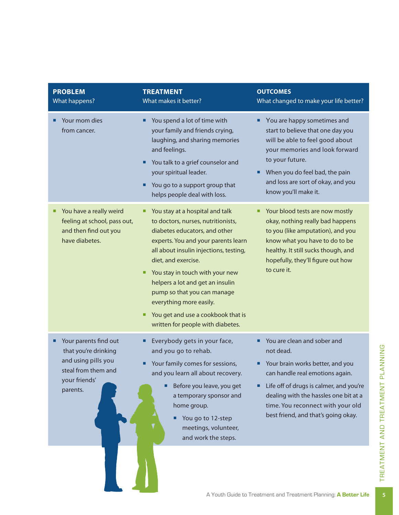| <b>PROBLEM</b><br>What happens?                                                                                               | <b>TREATMENT</b><br>What makes it better?                                                                                                                                                                                                                                                                                                                                                                                            | <b>OUTCOMES</b><br>What changed to make your life better?                                                                                                                                                                                                                                 |
|-------------------------------------------------------------------------------------------------------------------------------|--------------------------------------------------------------------------------------------------------------------------------------------------------------------------------------------------------------------------------------------------------------------------------------------------------------------------------------------------------------------------------------------------------------------------------------|-------------------------------------------------------------------------------------------------------------------------------------------------------------------------------------------------------------------------------------------------------------------------------------------|
| Your mom dies<br>■<br>from cancer.                                                                                            | You spend a lot of time with<br>٠<br>your family and friends crying,<br>laughing, and sharing memories<br>and feelings.<br>You talk to a grief counselor and<br>٠<br>your spiritual leader.<br>You go to a support group that<br>helps people deal with loss.                                                                                                                                                                        | You are happy sometimes and<br>٠<br>start to believe that one day you<br>will be able to feel good about<br>your memories and look forward<br>to your future.<br>When you do feel bad, the pain<br>п<br>and loss are sort of okay, and you<br>know you'll make it.                        |
| You have a really weird<br>■<br>feeling at school, pass out,<br>and then find out you<br>have diabetes.                       | You stay at a hospital and talk<br>ш<br>to doctors, nurses, nutritionists,<br>diabetes educators, and other<br>experts. You and your parents learn<br>all about insulin injections, testing,<br>diet, and exercise.<br>You stay in touch with your new<br>٠<br>helpers a lot and get an insulin<br>pump so that you can manage<br>everything more easily.<br>You get and use a cookbook that is<br>written for people with diabetes. | Your blood tests are now mostly<br>п<br>okay, nothing really bad happens<br>to you (like amputation), and you<br>know what you have to do to be<br>healthy. It still sucks though, and<br>hopefully, they'll figure out how<br>to cure it.                                                |
| Your parents find out<br>■<br>that you're drinking<br>and using pills you<br>steal from them and<br>your friends'<br>parents. | Everybody gets in your face,<br>and you go to rehab.<br>Your family comes for sessions,<br>and you learn all about recovery.<br>Before you leave, you get<br>a temporary sponsor and<br>home group.<br>You go to 12-step<br>■<br>meetings, volunteer,<br>and work the steps.                                                                                                                                                         | You are clean and sober and<br>not dead.<br>Your brain works better, and you<br>■<br>can handle real emotions again.<br>Life off of drugs is calmer, and you're<br>п<br>dealing with the hassles one bit at a<br>time. You reconnect with your old<br>best friend, and that's going okay. |
|                                                                                                                               |                                                                                                                                                                                                                                                                                                                                                                                                                                      |                                                                                                                                                                                                                                                                                           |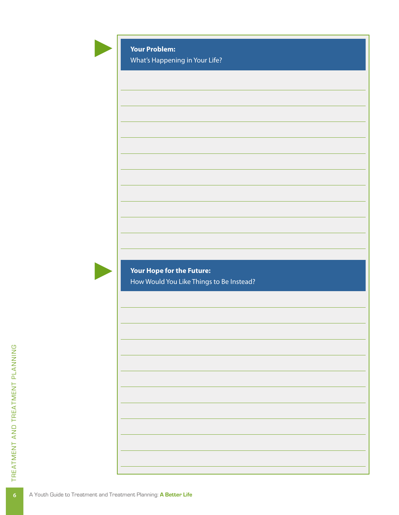### **Your Problem:**

What's Happening in Your Life?



**Your Hope for the Future:**  How Would You Like Things to Be Instead?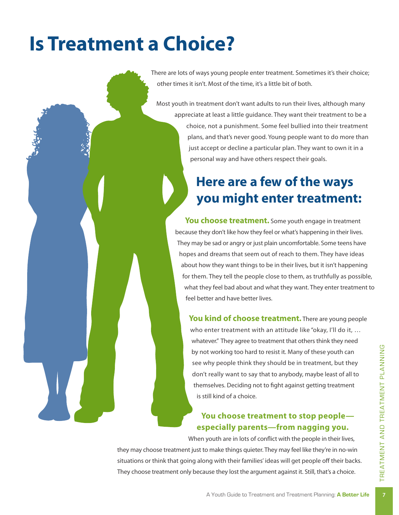# **Is Treatment a Choice?**

There are lots of ways young people enter treatment. Sometimes it's their choice; other times it isn't. Most of the time, it's a little bit of both.

Most youth in treatment don't want adults to run their lives, although many appreciate at least a little guidance. They want their treatment to be a choice, not a punishment. Some feel bullied into their treatment plans, and that's never good. Young people want to do more than just accept or decline a particular plan. They want to own it in a personal way and have others respect their goals.

### **Here are a few of the ways you might enter treatment:**

**You choose treatment.** Some youth engage in treatment because they don't like how they feel or what's happening in their lives. They may be sad or angry or just plain uncomfortable. Some teens have hopes and dreams that seem out of reach to them. They have ideas about how they want things to be in their lives, but it isn't happening for them. They tell the people close to them, as truthfully as possible, what they feel bad about and what they want. They enter treatment to feel better and have better lives.

You kind of choose treatment. There are young people who enter treatment with an attitude like "okay, I'll do it, ... whatever." They agree to treatment that others think they need by not working too hard to resist it. Many of these youth can see why people think they should be in treatment, but they don't really want to say that to anybody, maybe least of all to themselves. Deciding not to fight against getting treatment is still kind of a choice.

### **You choose treatment to stop people especially parents—from nagging you.**

When youth are in lots of conflict with the people in their lives,

They choose treatment only because they lost the argument against it. Still, that's a choice.<br>A Youth Guide to Treatment and Treatment Planning: **A Better Life** they may choose treatment just to make things quieter. They may feel like they're in no-win situations or think that going along with their families' ideas will get people off their backs.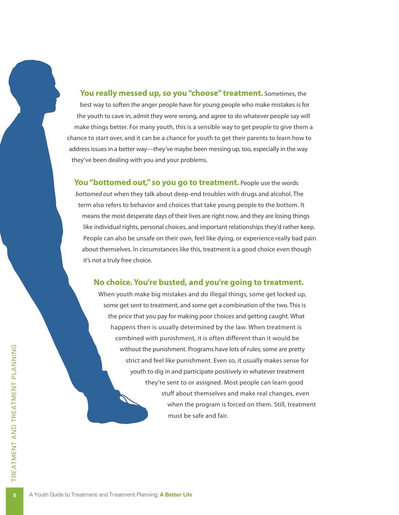**You really messed up, so you "choose" treatment.** Sometimes, the best way to soften the anger people have for young people who make mistakes is for the youth to cave in, admit they were wrong, and agree to do whatever people say will make things better. For many youth, this is a sensible way to get people to give them a chance to start over, and it can be a chance for youth to get their parents to learn how to address issues in a better way—they've maybe been messing up, too, especially in the way they've been dealing with you and your problems.

You "bottomed out," so you go to treatment. People use the words *bottomed out* when they talk about deep-end troubles with drugs and alcohol. The term also refers to behavior and choices that take young people to the bottom. It means the most desperate days of their lives are right now, and they are losing things like individual rights, personal choices, and important relationships they'd rather keep. People can also be unsafe on their own, feel like dying, or experience really bad pain about themselves. In circumstances like this, treatment is a good choice even though it's not a truly free choice.

#### **No choice. You're busted, and you're going to treatment.**

When youth make big mistakes and do illegal things, some get locked up, some get sent to treatment, and some get a combination of the two. This is the price that you pay for making poor choices and getting caught. What happens then is usually determined by the law. When treatment is combined with punishment, it is often different than it would be without the punishment. Programs have lots of rules; some are pretty strict and feel like punishment. Even so, it usually makes sense for youth to dig in and participate positively in whatever treatment they're sent to or assigned. Most people can learn good stuff about themselves and make real changes, even when the program is forced on them. Still, treatment must be safe and fair.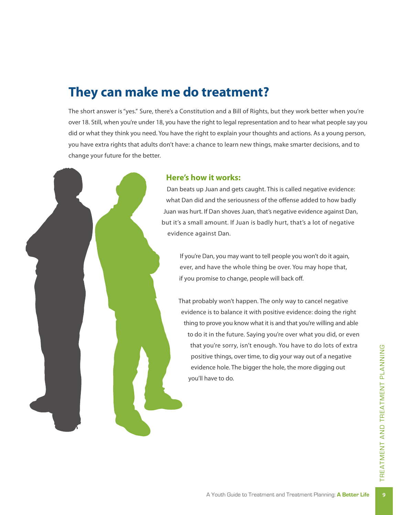### **They can make me do treatment?**

The short answer is "yes." Sure, there's a Constitution and a Bill of Rights, but they work better when you're over 18. Still, when you're under 18, you have the right to legal representation and to hear what people say you did or what they think you need. You have the right to explain your thoughts and actions. As a young person, you have extra rights that adults don't have: a chance to learn new things, make smarter decisions, and to change your future for the better.

#### **Here's how it works:**

Dan beats up Juan and gets caught. This is called negative evidence: what Dan did and the seriousness of the offense added to how badly Juan was hurt. If Dan shoves Juan, that's negative evidence against Dan, but it's a small amount. If Juan is badly hurt, that's a lot of negative evidence against Dan.

If you're Dan, you may want to tell people you won't do it again, ever, and have the whole thing be over. You may hope that, if you promise to change, people will back off.

That probably won't happen. The only way to cancel negative evidence is to balance it with positive evidence: doing the right thing to prove you know what it is and that you're willing and able to do it in the future. Saying you're over what you did, or even that you're sorry, isn't enough. You have to do lots of extra positive things, over time, to dig your way out of a negative evidence hole. The bigger the hole, the more digging out you'll have to do.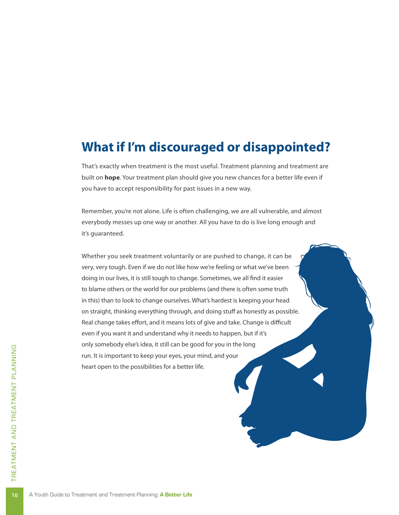### **What if I'm discouraged or disappointed?**

That's exactly when treatment is the most useful. Treatment planning and treatment are built on **hope**. Your treatment plan should give you new chances for a better life even if you have to accept responsibility for past issues in a new way.

Remember, you're not alone. Life is often challenging, we are all vulnerable, and almost everybody messes up one way or another. All you have to do is live long enough and it's guaranteed.

Whether you seek treatment voluntarily or are pushed to change, it can be very, very tough. Even if we do not like how we're feeling or what we've been doing in our lives, it is still tough to change. Sometimes, we all find it easier to blame others or the world for our problems (and there is often some truth in this) than to look to change ourselves. What's hardest is keeping your head on straight, thinking everything through, and doing stuff as honestly as possible. Real change takes effort, and it means lots of give and take. Change is difficult even if you want it and understand why it needs to happen, but if it's only somebody else's idea, it still can be good for you in the long run. It is important to keep your eyes, your mind, and your heart open to the possibilities for a better life.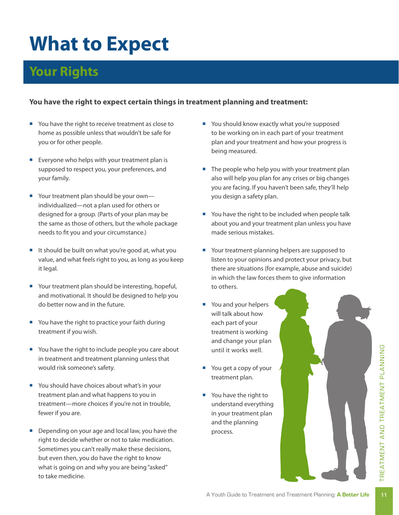# **What to Expect**

### **Your Rights**

### **You have the right to expect certain things in treatment planning and treatment:**

- You have the right to receive treatment as close to home as possible unless that wouldn't be safe for you or for other people.
- Everyone who helps with your treatment plan is supposed to respect you, your preferences, and your family.
- Your treatment plan should be your own individualized—not a plan used for others or designed for a group. (Parts of your plan may be the same as those of others, but the whole package needs to fit you and your circumstance.)
- It should be built on what you're good at, what you value, and what feels right to you, as long as you keep it legal.
- Your treatment plan should be interesting, hopeful, and motivational. It should be designed to help you do better now and in the future.
- You have the right to practice your faith during treatment if you wish.
- You have the right to include people you care about in treatment and treatment planning unless that would risk someone's safety.
- You should have choices about what's in your treatment plan and what happens to you in treatment—more choices if you're not in trouble, fewer if you are.
- Depending on your age and local law, you have the right to decide whether or not to take medication. Sometimes you can't really make these decisions, but even then, you do have the right to know what is going on and why you are being "asked" to take medicine.
- You should know exactly what you're supposed to be working on in each part of your treatment plan and your treatment and how your progress is being measured.
- $\blacksquare$  The people who help you with your treatment plan also will help you plan for any crises or big changes you are facing. If you haven't been safe, they'll help you design a safety plan.
- You have the right to be included when people talk about you and your treatment plan unless you have made serious mistakes.
- Your treatment-planning helpers are supposed to listen to your opinions and protect your privacy, but there are situations (for example, abuse and suicide) in which the law forces them to give information to others.
- You and your helpers will talk about how each part of your treatment is working and change your plan until it works well.
- You get a copy of your treatment plan.
- You have the right to understand everything in your treatment plan and the planning process.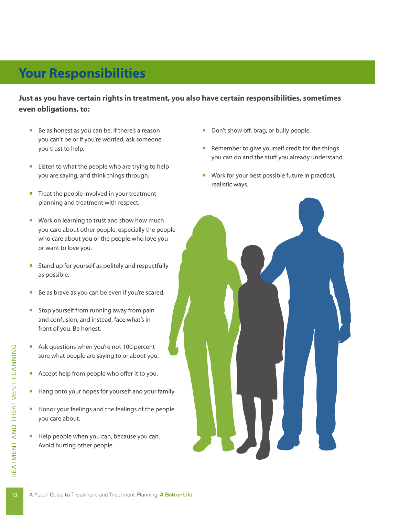### **Your Responsibilities**

**Just as you have certain rights in treatment, you also have certain responsibilities, sometimes even obligations, to:**

- Be as honest as you can be. If there's a reason you can't be or if you're worried, ask someone you trust to help.
- **E** Listen to what the people who are trying to help you are saying, and think things through.
- Treat the people involved in your treatment planning and treatment with respect.
- Work on learning to trust and show how much you care about other people, especially the people who care about you or the people who love you or want to love you.
- Stand up for yourself as politely and respectfully as possible.
- Be as brave as you can be even if you're scared.
- Stop yourself from running away from pain and confusion, and instead, face what's in front of you. Be honest.
- Ask questions when you're not 100 percent sure what people are saying to or about you.
- Accept help from people who offer it to you.
- Hang onto your hopes for yourself and your family.
- Honor your feelings and the feelings of the people you care about.
- Help people when you can, because you can. Avoid hurting other people.
- Don't show off, brag, or bully people.
- Remember to give yourself credit for the things you can do and the stuff you already understand.
- Work for your best possible future in practical, realistic ways.

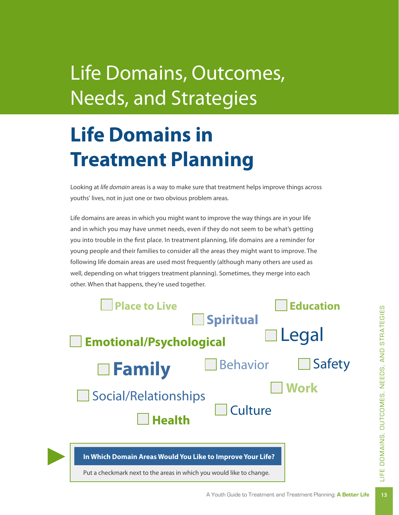# Life Domains, Outcomes, Needs, and Strategies

# **Life Domains in Treatment Planning**

Looking at *life domain* areas is a way to make sure that treatment helps improve things across youths' lives, not in just one or two obvious problem areas.

Life domains are areas in which you might want to improve the way things are in your life and in which you may have unmet needs, even if they do not seem to be what's getting you into trouble in the first place. In treatment planning, life domains are a reminder for young people and their families to consider all the areas they might want to improve. The following life domain areas are used most frequently (although many others are used as well, depending on what triggers treatment planning). Sometimes, they merge into each other. When that happens, they're used together.

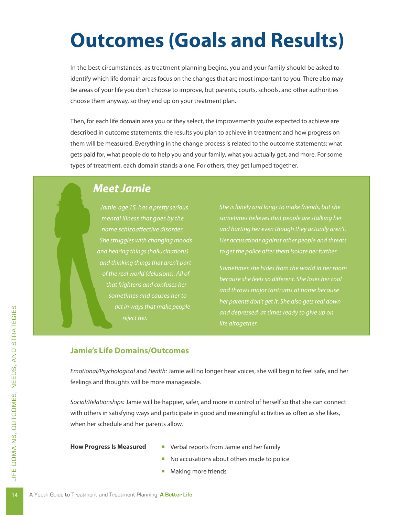# **Outcomes (Goals and Results)**

In the best circumstances, as treatment planning begins, you and your family should be asked to identify which life domain areas focus on the changes that are most important to you. There also may be areas of your life you don't choose to improve, but parents, courts, schools, and other authorities choose them anyway, so they end up on your treatment plan.

Then, for each life domain area you or they select, the improvements you're expected to achieve are described in outcome statements: the results you plan to achieve in treatment and how progress on them will be measured. Everything in the change process is related to the outcome statements: what gets paid for, what people do to help you and your family, what you actually get, and more. For some types of treatment, each domain stands alone. For others, they get lumped together.

### *Meet Jamie*

*Jamie, age 15, has a pretty serious mental illness that goes by the name schizoaffective disorder. She struggles with changing moods and hearing things (hallucinations) and thinking things that aren't part of the real world (delusions). All of that frightens and confuses her act in ways that make people reject her.* 

*sometimes believes that people are stalking her and hurting her even though they actually aren't. Her accusations against other people and threats to get the police after them isolate her further.* 

*Sometimes she hides from the world in her room and throws major tantrums at home because her parents don't get it. She also gets real down and depressed, at times ready to give up on life altogether.*

### **Jamie's Life Domains/Outcomes**

*Emotional/Psychological* and *Health:* Jamie will no longer hear voices, she will begin to feel safe, and her feelings and thoughts will be more manageable.

*Social/Relationships:* Jamie will be happier, safer, and more in control of herself so that she can connect with others in satisfying ways and participate in good and meaningful activities as often as she likes, when her schedule and her parents allow.

#### **How Progress Is Measured**

- **Verbal reports from Jamie and her family**
- No accusations about others made to police
- Making more friends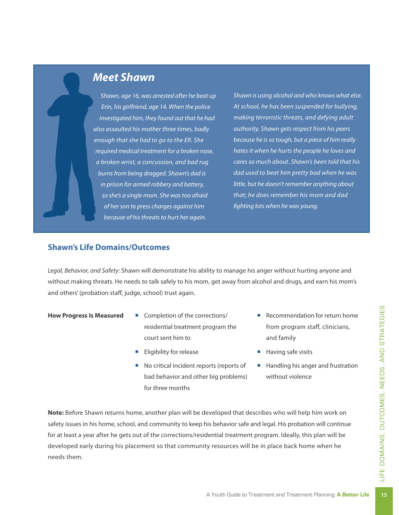

*Shawn, age 16, was arrested after he beat up Erin, his girlfriend, age 14. When the police investigated him, they found out that he had also assaulted his mother three times, badly enough that she had to go to the ER. She required medical treatment for a broken nose, a broken wrist, a concussion, and bad rug burns from being dragged. Shawn's dad is in prison for armed robbery and battery, so she's a single mom. She was too afraid of her son to press charges against him because of his threats to hurt her again.* 

*Shawn is using alcohol and who knows what else. At school, he has been suspended for bullying, making terroristic threats, and defying adult authority. Shawn gets respect from his peers because he is so tough, but a piece of him really hates it when he hurts the people he loves and cares so much about. Shawn's been told that his dad used to beat him pretty bad when he was little, but he doesn't remember anything about that; he does remember his mom and dad fighting lots when he was young.*

#### **Shawn's Life Domains/Outcomes**

*Legal, Behavior, and Safety:* Shawn will demonstrate his ability to manage his anger without hurting anyone and without making threats. He needs to talk safely to his mom, get away from alcohol and drugs, and earn his mom's and others' (probation staff, judge, school) trust again.

- **How Progress Is Measured**
- Completion of the corrections/ residential treatment program the court sent him to
- **Eligibility for release**
- No critical incident reports (reports of bad behavior and other big problems) for three months
- Recommendation for return home from program staff, clinicians, and family
- Having safe visits
- Handling his anger and frustration without violence

A Youth Guide to Treatment and Treatment and Treatment Planning: **A Better Life**<br>A Youth Guide to Treatment and Treatment Planning: **A Better Life Note:** Before Shawn returns home, another plan will be developed that describes who will help him work on safety issues in his home, school, and community to keep his behavior safe and legal. His probation will continue for at least a year after he gets out of the corrections/residential treatment program. Ideally, this plan will be developed early during his placement so that community resources will be in place back home when he needs them.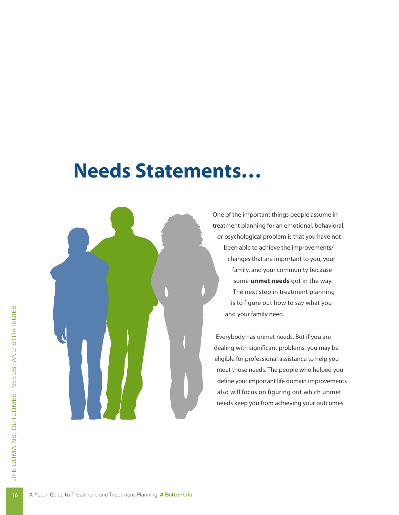### **Needs Statements…**



One of the important things people assume in treatment planning for an emotional, behavioral, or psychological problem is that you have not been able to achieve the improvements/ changes that are important to you, your family, and your community because some **unmet needs** got in the way. The next step in treatment planning is to figure out how to say what you and your family need.

Everybody has unmet needs. But if you are dealing with significant problems, you may be eligible for professional assistance to help you meet those needs. The people who helped you define your important life domain improvements also will focus on figuring out which unmet needs keep you from achieving your outcomes.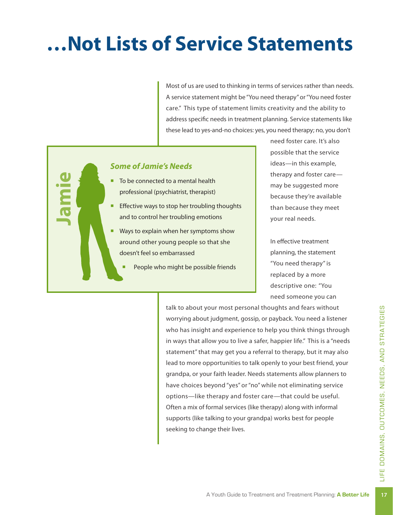# **…Not Lists of Service Statements**

Most of us are used to thinking in terms of services rather than needs. A service statement might be "You need therapy" or "You need foster care." This type of statement limits creativity and the ability to address specific needs in treatment planning. Service statements like these lead to yes-and-no choices: yes, you need therapy; no, you don't

### *Some of Jamie's Needs*

**Jamie**

- To be connected to a mental health professional (psychiatrist, therapist)
- Effective ways to stop her troubling thoughts and to control her troubling emotions
- Ways to explain when her symptoms show around other young people so that she doesn't feel so embarrassed
	- People who might be possible friends

need foster care. It's also possible that the service ideas—in this example, therapy and foster care may be suggested more because they're available than because they meet your real needs.

In effective treatment planning, the statement "You need therapy" is replaced by a more descriptive one: "You need someone you can

talk to about your most personal thoughts and fears without worrying about judgment, gossip, or payback. You need a listener who has insight and experience to help you think things through in ways that allow you to live a safer, happier life." This is a "needs statement" that may get you a referral to therapy, but it may also lead to more opportunities to talk openly to your best friend, your grandpa, or your faith leader. Needs statements allow planners to have choices beyond "yes" or "no" while not eliminating service options—like therapy and foster care—that could be useful. Often a mix of formal services (like therapy) along with informal supports (like talking to your grandpa) works best for people seeking to change their lives.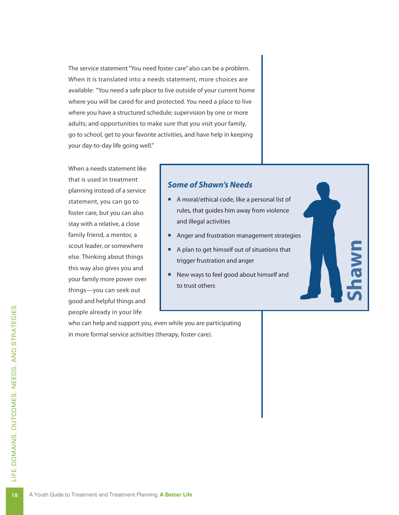The service statement "You need foster care" also can be a problem. When it is translated into a needs statement, more choices are available: "You need a safe place to live outside of your current home where you will be cared for and protected. You need a place to live where you have a structured schedule; supervision by one or more adults; and opportunities to make sure that you visit your family, go to school, get to your favorite activities, and have help in keeping your day-to-day life going well."

When a needs statement like that is used in treatment planning instead of a service statement, you can go to foster care, but you can also stay with a relative, a close family friend, a mentor, a scout leader, or somewhere else. Thinking about things this way also gives you and your family more power over things—you can seek out good and helpful things and people already in your life

### *Some of Shawn's Needs*

- A moral/ethical code, like a personal list of rules, that guides him away from violence and illegal activities
- Anger and frustration management strategies

**Shawn**

- A plan to get himself out of situations that trigger frustration and anger
- New ways to feel good about himself and to trust others

who can help and support you, even while you are participating in more formal service activities (therapy, foster care).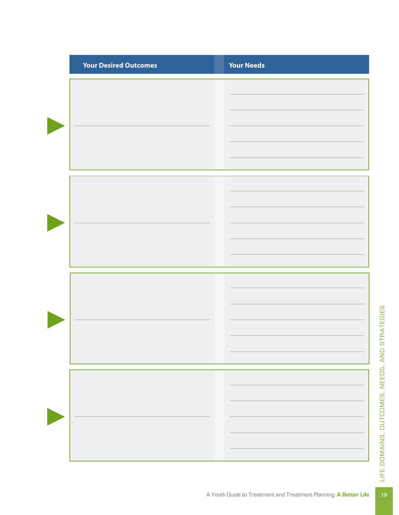| <b>Your Desired Outcomes</b> | <b>Your Needs</b> |
|------------------------------|-------------------|
|                              |                   |
|                              |                   |
|                              |                   |
|                              |                   |
|                              |                   |
|                              |                   |
|                              |                   |
|                              |                   |
|                              |                   |
|                              |                   |
|                              |                   |
|                              |                   |
|                              |                   |
|                              |                   |
|                              |                   |
|                              |                   |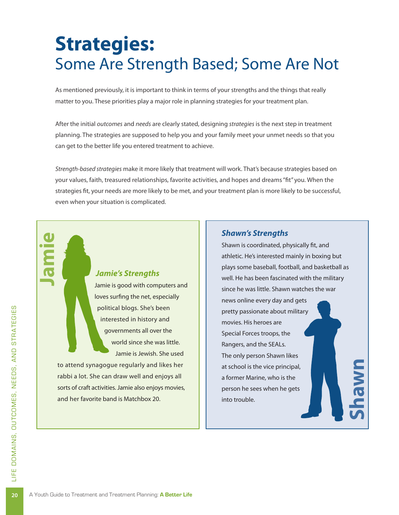### **Strategies:**  Some Are Strength Based; Some Are Not

As mentioned previously, it is important to think in terms of your strengths and the things that really matter to you. These priorities play a major role in planning strategies for your treatment plan.

After the initial *outcomes* and *needs* are clearly stated, designing *strategies* is the next step in treatment planning. The strategies are supposed to help you and your family meet your unmet needs so that you can get to the better life you entered treatment to achieve.

*Strength-based strategies* make it more likely that treatment will work. That's because strategies based on your values, faith, treasured relationships, favorite activities, and hopes and dreams "fit" you. When the strategies fit, your needs are more likely to be met, and your treatment plan is more likely to be successful, even when your situation is complicated.

### *Jamie's Strengths*

Jamie is good with computers and loves surfing the net, especially political blogs. She's been interested in history and governments all over the world since she was little. Jamie is Jewish. She used

to attend synagogue regularly and likes her rabbi a lot. She can draw well and enjoys all sorts of craft activities. Jamie also enjoys movies, and her favorite band is Matchbox 20.

#### *Shawn's Strengths*

Shawn is coordinated, physically fit, and athletic. He's interested mainly in boxing but plays some baseball, football, and basketball as well. He has been fascinated with the military since he was little. Shawn watches the war news online every day and gets pretty passionate about military movies. His heroes are Special Forces troops, the Rangers, and the SEALs. The only person Shawn likes at school is the vice principal, a former Marine, who is the person he sees when he gets into trouble.

**Shawn**

**Jamie**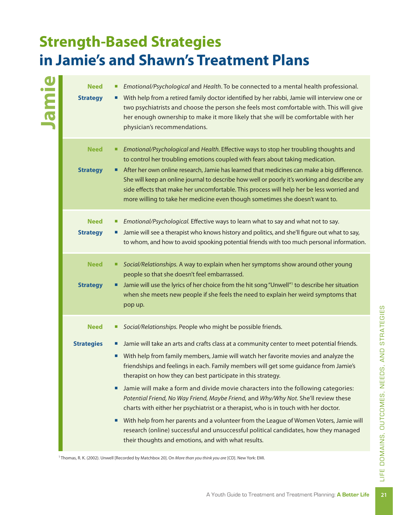### **Strength-Based Strategies in Jamie's and Shawn's Treatment Plans**

**Jamie**

- **Need** ¡ *Emotional/Psychological* and *Health*. To be connected to a mental health professional.
- **Strategy •** With help from a retired family doctor identified by her rabbi, Jamie will interview one or two psychiatrists and choose the person she feels most comfortable with. This will give her enough ownership to make it more likely that she will be comfortable with her physician's recommendations.
	- **Need** ¡ *Emotional/Psychological* and *Health.* Effective ways to stop her troubling thoughts and to control her troubling emotions coupled with fears about taking medication.
- **Strategy E** After her own online research, Jamie has learned that medicines can make a big difference. She will keep an online journal to describe how well or poorly it's working and describe any side effects that make her uncomfortable. This process will help her be less worried and more willing to take her medicine even though sometimes she doesn't want to.
- **Need** ¡ *Emotional/Psychological.* Effective ways to learn what to say and what not to say. **Strategy •** Jamie will see a therapist who knows history and politics, and she'll figure out what to say, to whom, and how to avoid spooking potential friends with too much personal information. **Need** ¡ *Social/Relationships.* A way to explain when her symptoms show around other young people so that she doesn't feel embarrassed. **Strategy I** Jamie will use the lyrics of her choice from the hit song "Unwell"<sup>1</sup> to describe her situation when she meets new people if she feels the need to explain her weird symptoms that pop up.
	- **Need ■** *Social/Relationships.* People who might be possible friends.

#### **Strategies**  $\blacksquare$  Jamie will take an arts and crafts class at a community center to meet potential friends.

- With help from family members, Jamie will watch her favorite movies and analyze the friendships and feelings in each. Family members will get some guidance from Jamie's therapist on how they can best participate in this strategy.
- **If** Jamie will make a form and divide movie characters into the following categories: *Potential Friend, No Way Friend, Maybe Friend,* and *Why/Why Not.* She'll review these charts with either her psychiatrist or a therapist, who is in touch with her doctor.
- Now they managed<br>
Ind with what results.<br>
inkyou are [CD]. New York: EMI.<br>
A Youth Guide to Treatment and Treatment Planning: **A Better Life** ■ With help from her parents and a volunteer from the League of Women Voters, Jamie will research (online) successful and unsuccessful political candidates, how they managed their thoughts and emotions, and with what results.

1 Thomas, R. K. (2002). Unwell [Recorded by Matchbox 20]. On *More than you think you are* [CD]. New York: EMI.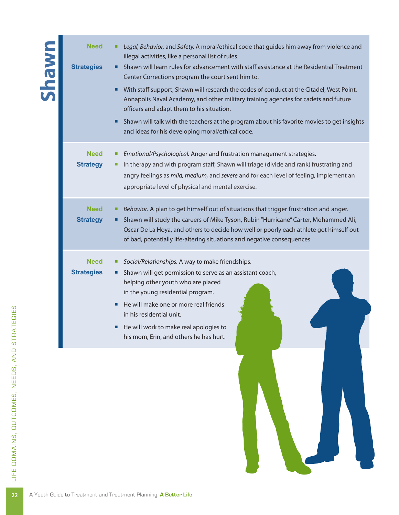| <b>UMBUS</b> | <b>Need</b><br><b>Strategies</b> | Legal, Behavior, and Safety. A moral/ethical code that guides him away from violence and<br>illegal activities, like a personal list of rules.<br>Shawn will learn rules for advancement with staff assistance at the Residential Treatment<br>Center Corrections program the court sent him to.<br>With staff support, Shawn will research the codes of conduct at the Citadel, West Point,<br>Annapolis Naval Academy, and other military training agencies for cadets and future<br>officers and adapt them to his situation.<br>Shawn will talk with the teachers at the program about his favorite movies to get insights<br>and ideas for his developing moral/ethical code. |
|--------------|----------------------------------|------------------------------------------------------------------------------------------------------------------------------------------------------------------------------------------------------------------------------------------------------------------------------------------------------------------------------------------------------------------------------------------------------------------------------------------------------------------------------------------------------------------------------------------------------------------------------------------------------------------------------------------------------------------------------------|
|              | <b>Need</b><br><b>Strategy</b>   | Emotional/Psychological. Anger and frustration management strategies.<br>In therapy and with program staff, Shawn will triage (divide and rank) frustrating and<br>angry feelings as mild, medium, and severe and for each level of feeling, implement an<br>appropriate level of physical and mental exercise.                                                                                                                                                                                                                                                                                                                                                                    |
|              | <b>Need</b><br><b>Strategy</b>   | Behavior. A plan to get himself out of situations that trigger frustration and anger.<br>Shawn will study the careers of Mike Tyson, Rubin "Hurricane" Carter, Mohammed Ali,<br>Oscar De La Hoya, and others to decide how well or poorly each athlete got himself out<br>of bad, potentially life-altering situations and negative consequences.                                                                                                                                                                                                                                                                                                                                  |
|              | <b>Need</b><br><b>Strategies</b> | Social/Relationships. A way to make friendships.<br>Shawn will get permission to serve as an assistant coach,<br>helping other youth who are placed<br>in the young residential program.<br>He will make one or more real friends<br>in his residential unit.<br>He will work to make real apologies to<br>his mom, Erin, and others he has hurt.                                                                                                                                                                                                                                                                                                                                  |
|              |                                  |                                                                                                                                                                                                                                                                                                                                                                                                                                                                                                                                                                                                                                                                                    |

Outcomes,

E<br>Z

ds, an d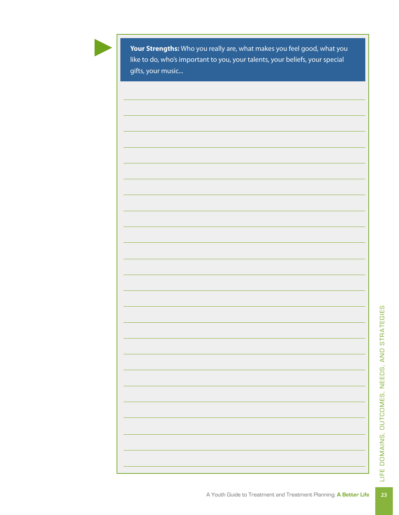

**Your Strengths:** Who you really are, what makes you feel good, what you like to do, who's important to you, your talents, your beliefs, your special gifts, your music...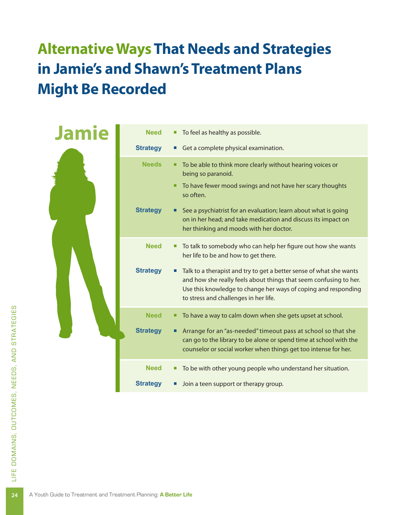### **Alternative Ways That Needs and Strategies in Jamie's and Shawn's Treatment Plans Might Be Recorded**

| <b>Need</b>     | To feel as healthy as possible.                                                                                                                                                                                                                     |
|-----------------|-----------------------------------------------------------------------------------------------------------------------------------------------------------------------------------------------------------------------------------------------------|
| <b>Strategy</b> | Get a complete physical examination.                                                                                                                                                                                                                |
| <b>Needs</b>    | To be able to think more clearly without hearing voices or<br>٠<br>being so paranoid.                                                                                                                                                               |
|                 | To have fewer mood swings and not have her scary thoughts<br>so often.                                                                                                                                                                              |
| <b>Strategy</b> | See a psychiatrist for an evaluation; learn about what is going<br>on in her head; and take medication and discuss its impact on<br>her thinking and moods with her doctor.                                                                         |
| <b>Need</b>     | To talk to somebody who can help her figure out how she wants<br>ш<br>her life to be and how to get there.                                                                                                                                          |
| <b>Strategy</b> | Talk to a therapist and try to get a better sense of what she wants<br>and how she really feels about things that seem confusing to her.<br>Use this knowledge to change her ways of coping and responding<br>to stress and challenges in her life. |
| <b>Need</b>     | To have a way to calm down when she gets upset at school.<br>٠                                                                                                                                                                                      |
| <b>Strategy</b> | Arrange for an "as-needed" timeout pass at school so that she<br>can go to the library to be alone or spend time at school with the<br>counselor or social worker when things get too intense for her.                                              |
| <b>Need</b>     | To be with other young people who understand her situation.<br>٠                                                                                                                                                                                    |
| <b>Strategy</b> | Join a teen support or therapy group.                                                                                                                                                                                                               |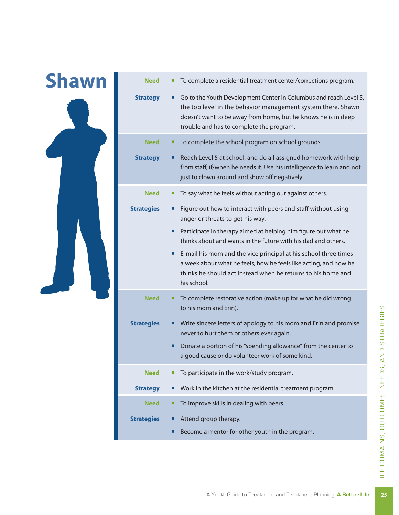| <b>Need</b>       | To complete a residential treatment center/corrections program.                                                                                                                                                                                |
|-------------------|------------------------------------------------------------------------------------------------------------------------------------------------------------------------------------------------------------------------------------------------|
| <b>Strategy</b>   | Go to the Youth Development Center in Columbus and reach Level 5,<br>the top level in the behavior management system there. Shawn<br>doesn't want to be away from home, but he knows he is in deep<br>trouble and has to complete the program. |
| <b>Need</b>       | To complete the school program on school grounds.                                                                                                                                                                                              |
| <b>Strategy</b>   | Reach Level 5 at school, and do all assigned homework with help<br>from staff, if/when he needs it. Use his intelligence to learn and not<br>just to clown around and show off negatively.                                                     |
| <b>Need</b>       | To say what he feels without acting out against others.                                                                                                                                                                                        |
| <b>Strategies</b> | Figure out how to interact with peers and staff without using<br>anger or threats to get his way.                                                                                                                                              |
|                   | Participate in therapy aimed at helping him figure out what he<br>thinks about and wants in the future with his dad and others.                                                                                                                |
|                   | E-mail his mom and the vice principal at his school three times<br>a week about what he feels, how he feels like acting, and how he<br>thinks he should act instead when he returns to his home and<br>his school.                             |
| <b>Need</b>       | To complete restorative action (make up for what he did wrong<br>to his mom and Erin).                                                                                                                                                         |
| <b>Strategies</b> | Write sincere letters of apology to his mom and Erin and promise<br>never to hurt them or others ever again.                                                                                                                                   |
|                   | Donate a portion of his "spending allowance" from the center to<br>a good cause or do volunteer work of some kind.                                                                                                                             |
| <b>Need</b>       | To participate in the work/study program.                                                                                                                                                                                                      |
| <b>Strategy</b>   | Work in the kitchen at the residential treatment program.                                                                                                                                                                                      |
| <b>Need</b>       | To improve skills in dealing with peers.                                                                                                                                                                                                       |
| <b>Strategies</b> | Attend group therapy.                                                                                                                                                                                                                          |
|                   | Become a mentor for other youth in the program.                                                                                                                                                                                                |
|                   |                                                                                                                                                                                                                                                |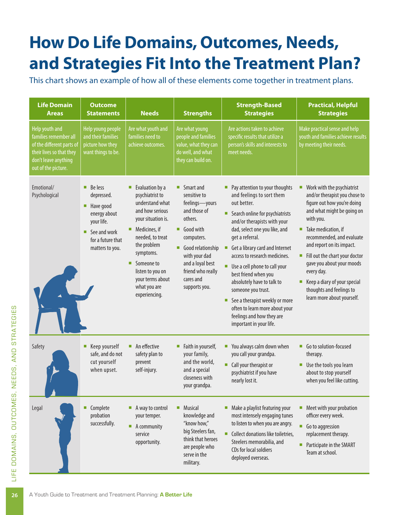## **How Do Life Domains, Outcomes, Needs, and Strategies Fit Into the Treatment Plan?**

This chart shows an example of how all of these elements come together in treatment plans.

| <b>Life Domain</b><br><b>Areas</b>                                                                                                              | <b>Outcome</b><br><b>Statements</b>                                                                                                                         | <b>Needs</b>                                                                                                                                                                                                                                                          | <b>Strengths</b>                                                                                                                                                                                                                   | <b>Strength-Based</b><br><b>Strategies</b>                                                                                                                                                                                                                                                                                                                                                                                                                                                                              | <b>Practical, Helpful</b><br><b>Strategies</b>                                                                                                                                                                                                                                                                                                                                                                    |
|-------------------------------------------------------------------------------------------------------------------------------------------------|-------------------------------------------------------------------------------------------------------------------------------------------------------------|-----------------------------------------------------------------------------------------------------------------------------------------------------------------------------------------------------------------------------------------------------------------------|------------------------------------------------------------------------------------------------------------------------------------------------------------------------------------------------------------------------------------|-------------------------------------------------------------------------------------------------------------------------------------------------------------------------------------------------------------------------------------------------------------------------------------------------------------------------------------------------------------------------------------------------------------------------------------------------------------------------------------------------------------------------|-------------------------------------------------------------------------------------------------------------------------------------------------------------------------------------------------------------------------------------------------------------------------------------------------------------------------------------------------------------------------------------------------------------------|
| Help youth and<br>families remember all<br>of the different parts of<br>their lives so that they<br>don't leave anything<br>out of the picture. | Help young people<br>and their families<br>picture how they<br>want things to be.                                                                           | Are what youth and<br>families need to<br>achieve outcomes.                                                                                                                                                                                                           | Are what young<br>people and families<br>value, what they can<br>do well, and what<br>they can build on.                                                                                                                           | Are actions taken to achieve<br>specific results that utilize a<br>person's skills and interests to<br>meet needs.                                                                                                                                                                                                                                                                                                                                                                                                      | Make practical sense and help<br>youth and families achieve results<br>by meeting their needs.                                                                                                                                                                                                                                                                                                                    |
| Emotional/<br>Psychological                                                                                                                     | $\blacksquare$ Be less<br>depressed.<br>Have good<br>п<br>energy about<br>your life.<br>$\blacksquare$ See and work<br>for a future that<br>matters to you. | Evaluation by a<br>п<br>psychiatrist to<br>understand what<br>and how serious<br>your situation is.<br>Medicines, if<br>п<br>needed, to treat<br>the problem<br>symptoms.<br>Someone to<br>п<br>listen to you on<br>your terms about<br>what you are<br>experiencing. | $\blacksquare$ Smart and<br>sensitive to<br>feelings-yours<br>and those of<br>others.<br>Good with<br>п<br>computers.<br>Good relationship<br>with your dad<br>and a loyal best<br>friend who really<br>cares and<br>supports you. | Pay attention to your thoughts<br>and feelings to sort them<br>out better.<br>Search online for psychiatrists<br>and/or therapists with your<br>dad, select one you like, and<br>get a referral.<br>Get a library card and Internet<br>п<br>access to research medicines.<br>Use a cell phone to call your<br>best friend when you<br>absolutely have to talk to<br>someone you trust.<br>See a therapist weekly or more<br>п<br>often to learn more about your<br>feelings and how they are<br>important in your life. | Work with the psychiatrist<br>п<br>and/or therapist you chose to<br>figure out how you're doing<br>and what might be going on<br>with you.<br>Take medication, if<br>п<br>recommended, and evaluate<br>and report on its impact.<br>Fill out the chart your doctor<br>п<br>gave you about your moods<br>every day.<br>Keep a diary of your special<br>п<br>thoughts and feelings to<br>learn more about yourself. |
| Safety                                                                                                                                          | Keep yourself<br>ш<br>safe, and do not<br>cut yourself<br>when upset.                                                                                       | An effective<br>п<br>safety plan to<br>prevent<br>self-injury.                                                                                                                                                                                                        | Faith in yourself,<br>ш<br>your family,<br>and the world,<br>and a special<br>closeness with<br>your grandpa.                                                                                                                      | You always calm down when<br>you call your grandpa.<br>Call your therapist or<br>psychiatrist if you have<br>nearly lost it.                                                                                                                                                                                                                                                                                                                                                                                            | Go to solution-focused<br>п<br>therapy.<br>Use the tools you learn<br>about to stop yourself<br>when you feel like cutting.                                                                                                                                                                                                                                                                                       |
| Legal                                                                                                                                           | Complete<br>п<br>probation<br>successfully.                                                                                                                 | A way to control<br>п<br>your temper.<br>п<br>A community<br>service<br>opportunity.                                                                                                                                                                                  | Musical<br>п<br>knowledge and<br>"know how,"<br>big Steelers fan,<br>think that heroes<br>are people who<br>serve in the<br>military.                                                                                              | Make a playlist featuring your<br>most intensely engaging tunes<br>to listen to when you are angry.<br>Collect donations like toiletries,<br>Steelers memorabilia, and<br>CDs for local soldiers<br>deployed overseas.                                                                                                                                                                                                                                                                                                  | Meet with your probation<br>ш<br>officer every week.<br>Ù,<br>Go to aggression<br>replacement therapy.<br>Participate in the SMART<br>п<br>Team at school.                                                                                                                                                                                                                                                        |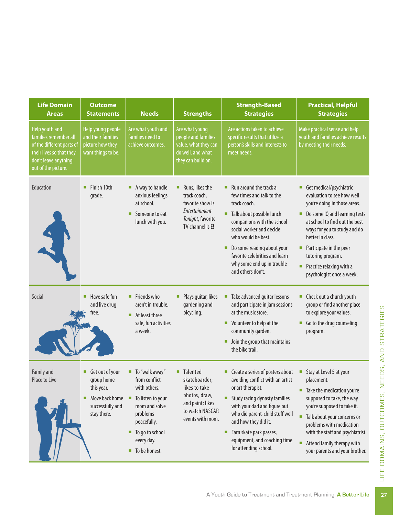| <b>Life Domain</b><br><b>Areas</b>                                                                                                              | <b>Outcome</b><br><b>Statements</b>                                                              | <b>Needs</b>                                                                                                                                                       | <b>Strengths</b>                                                                                                                   | <b>Strength-Based</b><br><b>Strategies</b>                                                                                                                                                                                                                                                                | <b>Practical, Helpful</b><br><b>Strategies</b>                                                                                                                                                                                                                                                                        |
|-------------------------------------------------------------------------------------------------------------------------------------------------|--------------------------------------------------------------------------------------------------|--------------------------------------------------------------------------------------------------------------------------------------------------------------------|------------------------------------------------------------------------------------------------------------------------------------|-----------------------------------------------------------------------------------------------------------------------------------------------------------------------------------------------------------------------------------------------------------------------------------------------------------|-----------------------------------------------------------------------------------------------------------------------------------------------------------------------------------------------------------------------------------------------------------------------------------------------------------------------|
| Help youth and<br>families remember all<br>of the different parts of<br>their lives so that they<br>don't leave anything<br>out of the picture. | Help young people<br>and their families<br>picture how they<br>want things to be.                | Are what youth and<br>families need to<br>achieve outcomes.                                                                                                        | Are what young<br>people and families<br>value, what they can<br>do well, and what<br>they can build on.                           | Are actions taken to achieve<br>specific results that utilize a<br>person's skills and interests to<br>meet needs.                                                                                                                                                                                        | Make practical sense and help<br>youth and families achieve results<br>by meeting their needs.                                                                                                                                                                                                                        |
| Education                                                                                                                                       | Finish 10th<br>grade.                                                                            | A way to handle<br>ш<br>anxious feelings<br>at school.<br>Someone to eat<br>lunch with you.                                                                        | Runs, likes the<br>track coach,<br>favorite show is<br>Entertainment<br>Tonight, favorite<br>TV channel is E!                      | Run around the track a<br>few times and talk to the<br>track coach.<br>Talk about possible lunch<br>companions with the school<br>social worker and decide<br>who would be best.<br>Do some reading about your<br>favorite celebrities and learn<br>why some end up in trouble<br>and others don't.       | Get medical/psychiatric<br>evaluation to see how well<br>you're doing in those areas.<br>Do some IQ and learning tests<br>at school to find out the best<br>ways for you to study and do<br>better in class.<br>Participate in the peer<br>tutoring program.<br>Practice relaxing with a<br>psychologist once a week. |
| Social                                                                                                                                          | Have safe fun<br>and live drug<br>free.                                                          | Friends who<br>ш<br>aren't in trouble.<br>$\blacksquare$<br>At least three<br>safe, fun activities<br>a week.                                                      | Plays guitar, likes<br>gardening and<br>bicycling.                                                                                 | Take advanced guitar lessons<br>п<br>and participate in jam sessions<br>at the music store.<br>Volunteer to help at the<br>community garden.<br>Join the group that maintains<br>the bike trail.                                                                                                          | Check out a church youth<br>ш<br>group or find another place<br>to explore your values.<br>Go to the drug counseling<br>program.                                                                                                                                                                                      |
| Family and<br>Place to Live                                                                                                                     | Get out of your<br>group home<br>this year.<br>Move back home<br>successfully and<br>stay there. | To "walk away"<br>from conflict<br>with others.<br>To listen to your<br>mom and solve<br>problems<br>peacefully.<br>To go to school<br>every day.<br>To be honest. | <b>Talented</b><br>п<br>skateboarder;<br>likes to take<br>photos, draw,<br>and paint; likes<br>to watch NASCAR<br>events with mom. | Create a series of posters about<br>avoiding conflict with an artist<br>or art therapist.<br>Study racing dynasty families<br>with your dad and figure out<br>who did parent-child stuff well<br>and how they did it.<br>Earn skate park passes,<br>equipment, and coaching time<br>for attending school. | Stay at Level 5 at your<br>placement.<br>Take the medication you're<br>supposed to take, the way<br>you're supposed to take it.<br>Talk about your concerns or<br>problems with medication<br>with the staff and psychiatrist.<br>Attend family therapy with<br>your parents and your brother.                        |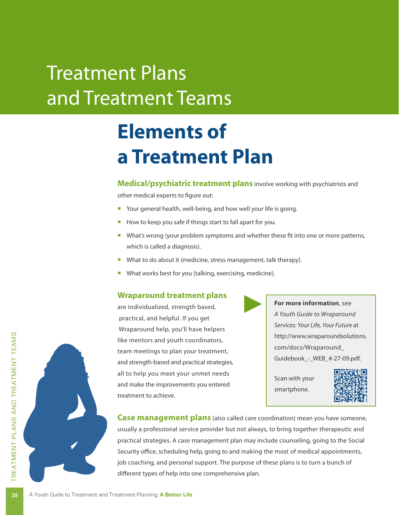# Treatment Plans and Treatment Teams

# **Elements of a Treatment Plan**

**Medical/psychiatric treatment plans** involve working with psychiatrists and

other medical experts to figure out:

- Your general health, well-being, and how well your life is going.
- How to keep you safe if things start to fall apart for you.
- What's wrong (your problem symptoms and whether these fit into one or more patterns, which is called a diagnosis).
- What to do about it (medicine, stress management, talk therapy).
- What works best for you (talking, exercising, medicine).

#### **Wraparound treatment plans**

are individualized, strength based, practical, and helpful. If you get Wraparound help, you'll have helpers like mentors and youth coordinators, team meetings to plan your treatment, and strength-based and practical strategies, all to help you meet your unmet needs and make the improvements you entered treatment to achieve.

**For more information**, see *A Youth Guide to Wraparound Services: Your Life, Your Future* at [http://www.wraparoundsolutions.](http://www.wraparoundsolutions.com/docs/Wraparound_Guidebook_-_WEB_4-27-09.pdf) [com/docs/Wraparound\\_](http://www.wraparoundsolutions.com/docs/Wraparound_Guidebook_-_WEB_4-27-09.pdf) Guidebook - WEB 4-27-09.pdf.

Scan with your smartphone.



**Case management plans** (also called care coordination) mean you have someone, usually a professional service provider but not always, to bring together therapeutic and practical strategies. A case management plan may include counseling, going to the Social Security office, scheduling help, going to and making the most of medical appointments, job coaching, and personal support. The purpose of these plans is to turn a bunch of different types of help into one comprehensive plan.

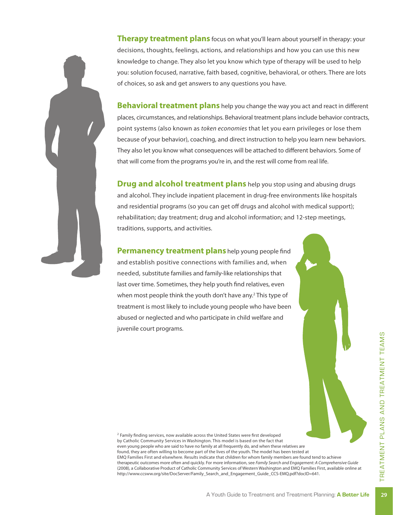**Therapy treatment plans** focus on what you'll learn about yourself in therapy: your decisions, thoughts, feelings, actions, and relationships and how you can use this new knowledge to change. They also let you know which type of therapy will be used to help you: solution focused, narrative, faith based, cognitive, behavioral, or others. There are lots of choices, so ask and get answers to any questions you have.

**Behavioral treatment plans** help you change the way you act and react in different places, circumstances, and relationships. Behavioral treatment plans include behavior contracts, point systems (also known as *token economies* that let you earn privileges or lose them because of your behavior), coaching, and direct instruction to help you learn new behaviors. They also let you know what consequences will be attached to different behaviors. Some of that will come from the programs you're in, and the rest will come from real life.

**Drug and alcohol treatment plans** help you stop using and abusing drugs and alcohol. They include inpatient placement in drug-free environments like hospitals and residential programs (so you can get off drugs and alcohol with medical support); rehabilitation; day treatment; drug and alcohol information; and 12-step meetings, traditions, supports, and activities.

**Permanency treatment plans** help young people find and establish positive connections with families and, when needed, substitute families and family-like relationships that last over time. Sometimes, they help youth find relatives, even when most people think the youth don't have any.<sup>2</sup> This type of treatment is most likely to include young people who have been abused or neglected and who participate in child welfare and juvenile court programs.

<sup>2</sup> Family finding services, now available across the United States were first developed by Catholic Community Services in Washington. This model is based on the fact that even young people who are said to have no family at all frequently do, and when these relatives are found, they are often willing to become part of the lives of the youth. The model has been tested at EMQ Families First and elsewhere. Results indicate that children for whom family members are found tend to achieve therapeutic outcomes more often and quickly. For more information, see *Family Search and Engagement: A Comprehensive Guide* (2008), a Collaborative Product of Catholic Community Services of Western Washington and EMQ Families First, available online at http://www.ccsww.org/site/DocServer/Family\_Search\_and\_Engagement\_Guide\_CCS-EMQ.pdf?docID=641.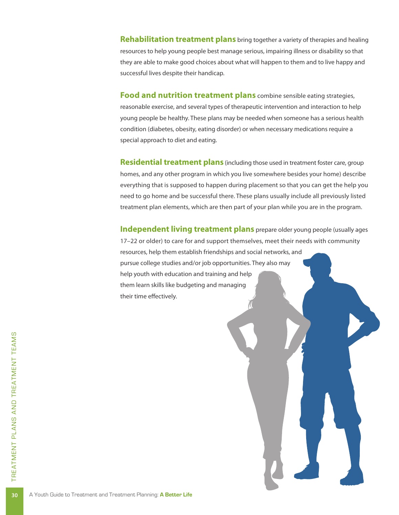**Rehabilitation treatment plans** bring together a variety of therapies and healing resources to help young people best manage serious, impairing illness or disability so that they are able to make good choices about what will happen to them and to live happy and successful lives despite their handicap.

**Food and nutrition treatment plans** combine sensible eating strategies, reasonable exercise, and several types of therapeutic intervention and interaction to help young people be healthy. These plans may be needed when someone has a serious health condition (diabetes, obesity, eating disorder) or when necessary medications require a special approach to diet and eating.

**Residential treatment plans** (including those used in treatment foster care, group homes, and any other program in which you live somewhere besides your home) describe everything that is supposed to happen during placement so that you can get the help you need to go home and be successful there. These plans usually include all previously listed treatment plan elements, which are then part of your plan while you are in the program.

**Independent living treatment plans** prepare older young people (usually ages 17–22 or older) to care for and support themselves, meet their needs with community resources, help them establish friendships and social networks, and pursue college studies and/or job opportunities. They also may help youth with education and training and help them learn skills like budgeting and managing their time effectively.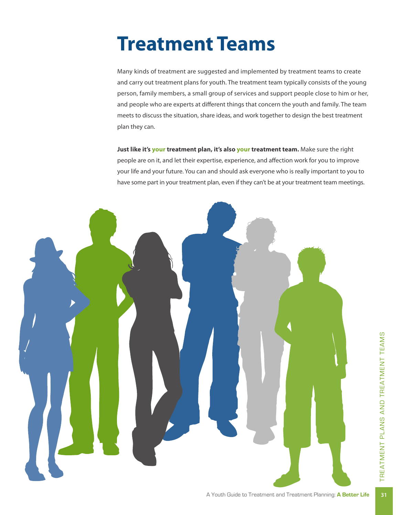# **Treatment Teams**

Many kinds of treatment are suggested and implemented by treatment teams to create and carry out treatment plans for youth. The treatment team typically consists of the young person, family members, a small group of services and support people close to him or her, and people who are experts at different things that concern the youth and family. The team meets to discuss the situation, share ideas, and work together to design the best treatment plan they can.

**Just like it's your treatment plan, it's also your treatment team.** Make sure the right people are on it, and let their expertise, experience, and affection work for you to improve your life and your future. You can and should ask everyone who is really important to you to have some part in your treatment plan, even if they can't be at your treatment team meetings.

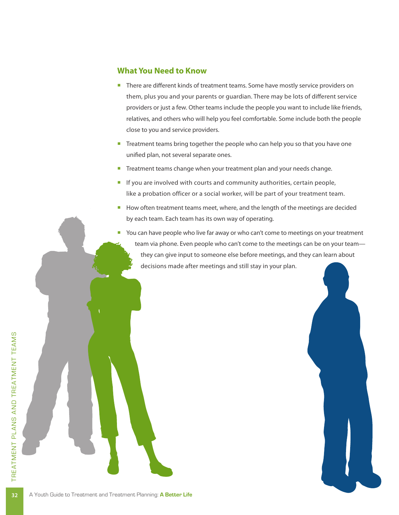#### **What You Need to Know**

- There are different kinds of treatment teams. Some have mostly service providers on them, plus you and your parents or guardian. There may be lots of different service providers or just a few. Other teams include the people you want to include like friends, relatives, and others who will help you feel comfortable. Some include both the people close to you and service providers.
- **•** Treatment teams bring together the people who can help you so that you have one unified plan, not several separate ones.
- Treatment teams change when your treatment plan and your needs change.
- **If you are involved with courts and community authorities, certain people,** like a probation officer or a social worker, will be part of your treatment team.
- How often treatment teams meet, where, and the length of the meetings are decided by each team. Each team has its own way of operating.
- You can have people who live far away or who can't come to meetings on your treatment team via phone. Even people who can't come to the meetings can be on your team they can give input to someone else before meetings, and they can learn about decisions made after meetings and still stay in your plan.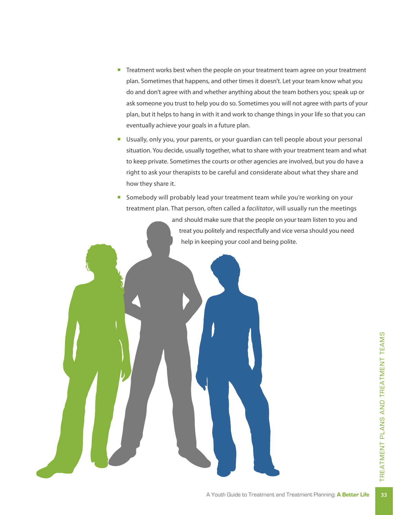- Treatment works best when the people on your treatment team agree on your treatment plan. Sometimes that happens, and other times it doesn't. Let your team know what you do and don't agree with and whether anything about the team bothers you; speak up or ask someone you trust to help you do so. Sometimes you will not agree with parts of your plan, but it helps to hang in with it and work to change things in your life so that you can eventually achieve your goals in a future plan.
- Usually, only you, your parents, or your guardian can tell people about your personal situation. You decide, usually together, what to share with your treatment team and what to keep private. Sometimes the courts or other agencies are involved, but you do have a right to ask your therapists to be careful and considerate about what they share and how they share it.

■ Somebody will probably lead your treatment team while you're working on your treatment plan. That person, often called a *facilitator*, will usually run the meetings and should make sure that the people on your team listen to you and treat you politely and respectfully and vice versa should you need help in keeping your cool and being polite.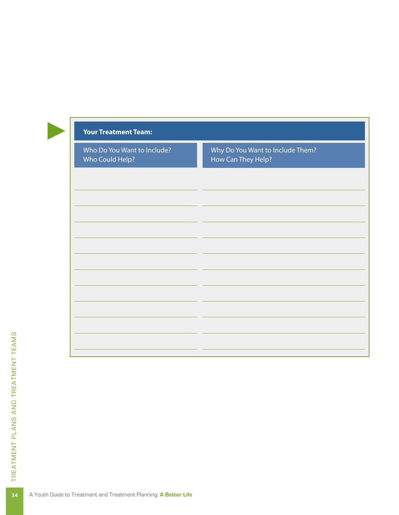| Why Do You Want to Include Them?<br>Who Do You Want to Include?<br>Who Could Help?<br>How Can They Help? | <b>Your Treatment Team:</b> |  |  |
|----------------------------------------------------------------------------------------------------------|-----------------------------|--|--|
|                                                                                                          |                             |  |  |
|                                                                                                          |                             |  |  |
|                                                                                                          |                             |  |  |
|                                                                                                          |                             |  |  |
|                                                                                                          |                             |  |  |
|                                                                                                          |                             |  |  |
|                                                                                                          |                             |  |  |
|                                                                                                          |                             |  |  |
|                                                                                                          |                             |  |  |
|                                                                                                          |                             |  |  |
|                                                                                                          |                             |  |  |
|                                                                                                          |                             |  |  |
|                                                                                                          |                             |  |  |
|                                                                                                          |                             |  |  |
|                                                                                                          |                             |  |  |
|                                                                                                          |                             |  |  |
|                                                                                                          |                             |  |  |
|                                                                                                          |                             |  |  |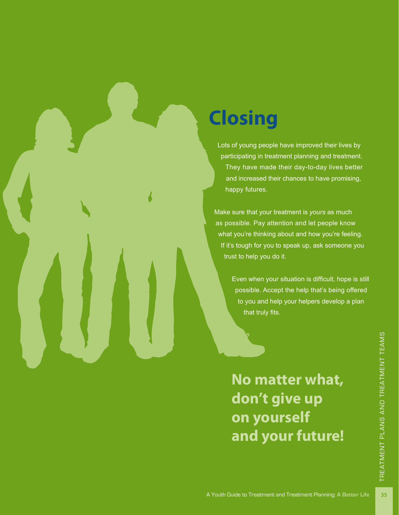# **Closing**

Lots of young people have improved their lives by participating in treatment planning and treatment. They have made their day-to-day lives better and increased their chances to have promising, happy futures.

Make sure that your treatment is *yours* as much as possible. Pay attention and let people know what you're thinking about and how you're feeling. If it's tough for you to speak up, ask someone you trust to help you do it.

> Even when your situation is difficult, hope is still possible. Accept the help that's being offered to you and help your helpers develop a plan that truly fits.

**No matter what, don't give up on yourself and your future!**